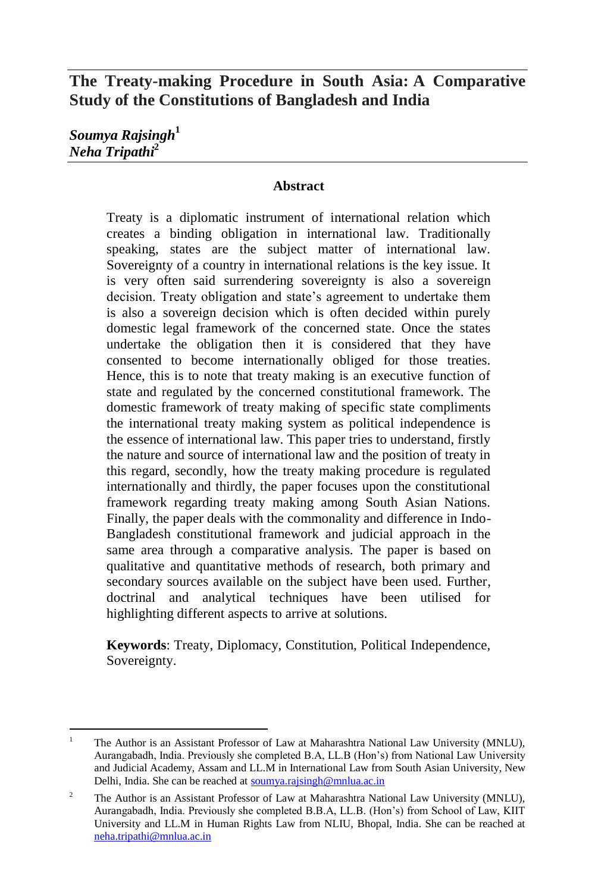# **The Treaty-making Procedure in South Asia: A Comparative Study of the Constitutions of Bangladesh and India**

*Soumya Rajsingh***<sup>1</sup>** *Neha Tripathi***<sup>2</sup>**

#### **Abstract**

Treaty is a diplomatic instrument of international relation which creates a binding obligation in international law. Traditionally speaking, states are the subject matter of international law. Sovereignty of a country in international relations is the key issue. It is very often said surrendering sovereignty is also a sovereign decision. Treaty obligation and state's agreement to undertake them is also a sovereign decision which is often decided within purely domestic legal framework of the concerned state. Once the states undertake the obligation then it is considered that they have consented to become internationally obliged for those treaties. Hence, this is to note that treaty making is an executive function of state and regulated by the concerned constitutional framework. The domestic framework of treaty making of specific state compliments the international treaty making system as political independence is the essence of international law. This paper tries to understand, firstly the nature and source of international law and the position of treaty in this regard, secondly, how the treaty making procedure is regulated internationally and thirdly, the paper focuses upon the constitutional framework regarding treaty making among South Asian Nations. Finally, the paper deals with the commonality and difference in Indo-Bangladesh constitutional framework and judicial approach in the same area through a comparative analysis. The paper is based on qualitative and quantitative methods of research, both primary and secondary sources available on the subject have been used. Further, doctrinal and analytical techniques have been utilised for highlighting different aspects to arrive at solutions.

**Keywords**: Treaty, Diplomacy, Constitution, Political Independence, Sovereignty.

 $\overline{a}$ <sup>1</sup> The Author is an Assistant Professor of Law at Maharashtra National Law University (MNLU), Aurangabadh, India. Previously she completed B.A, LL.B (Hon's) from National Law University and Judicial Academy, Assam and LL.M in International Law from South Asian University, New Delhi, India. She can be reached at [soumya.rajsingh@mnlua.ac.in](mailto:soumya.rajsingh@mnlua.ac.in)

<sup>&</sup>lt;sup>2</sup> The Author is an Assistant Professor of Law at Maharashtra National Law University (MNLU), Aurangabadh, India. Previously she completed B.B.A, LL.B. (Hon's) from School of Law, KIIT University and LL.M in Human Rights Law from NLIU, Bhopal, India. She can be reached at [neha.tripathi@mnlua.ac.in](mailto:neha.tripathi@mnlua.ac.in)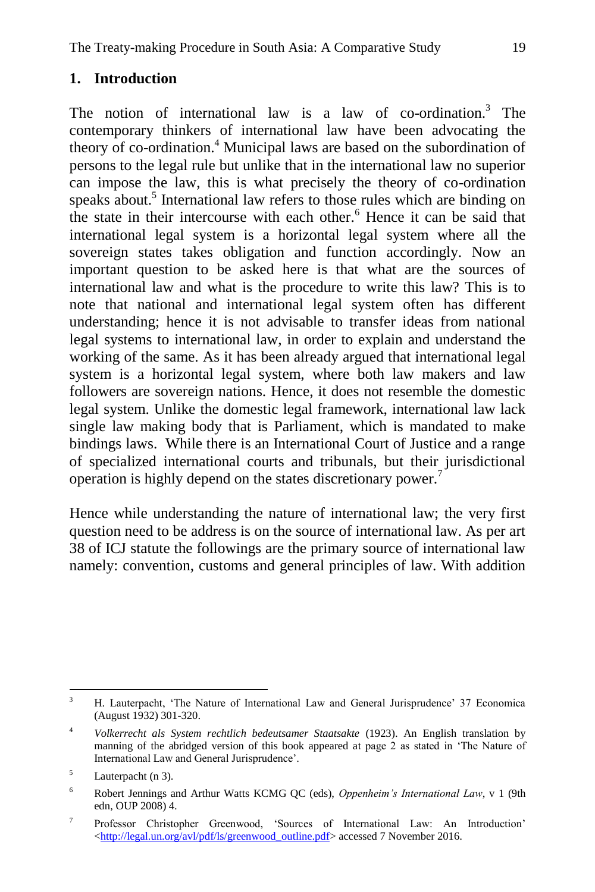### **1. Introduction**

The notion of international law is a law of co-ordination.<sup>3</sup> The contemporary thinkers of international law have been advocating the theory of co-ordination.<sup>4</sup> Municipal laws are based on the subordination of persons to the legal rule but unlike that in the international law no superior can impose the law, this is what precisely the theory of co-ordination speaks about.<sup>5</sup> International law refers to those rules which are binding on the state in their intercourse with each other.<sup>6</sup> Hence it can be said that international legal system is a horizontal legal system where all the sovereign states takes obligation and function accordingly. Now an important question to be asked here is that what are the sources of international law and what is the procedure to write this law? This is to note that national and international legal system often has different understanding; hence it is not advisable to transfer ideas from national legal systems to international law, in order to explain and understand the working of the same. As it has been already argued that international legal system is a horizontal legal system, where both law makers and law followers are sovereign nations. Hence, it does not resemble the domestic legal system. Unlike the domestic legal framework, international law lack single law making body that is Parliament, which is mandated to make bindings laws. While there is an International Court of Justice and a range of specialized international courts and tribunals, but their jurisdictional operation is highly depend on the states discretionary power.<sup>7</sup>

Hence while understanding the nature of international law; the very first question need to be address is on the source of international law. As per art 38 of ICJ statute the followings are the primary source of international law namely: convention, customs and general principles of law. With addition

 $\overline{\mathbf{3}}$ <sup>3</sup> H. Lauterpacht, ‗The Nature of International Law and General Jurisprudence' 37 Economica (August 1932) 301-320.

<sup>4</sup> *Volkerrecht als System rechtlich bedeutsamer Staatsakte* (1923). An English translation by manning of the abridged version of this book appeared at page 2 as stated in 'The Nature of International Law and General Jurisprudence'.

<sup>5</sup> Lauterpacht (n 3).

<sup>6</sup> Robert Jennings and Arthur Watts KCMG QC (eds), *Oppenheim's International Law*, v 1 (9th edn, OUP 2008) 4.

<sup>7</sup> Professor Christopher Greenwood, 'Sources of International Law: An Introduction' [<http://legal.un.org/avl/pdf/ls/greenwood\\_outline.pdf>](http://legal.un.org/avl/pdf/ls/greenwood_outline.pdf) accessed 7 November 2016.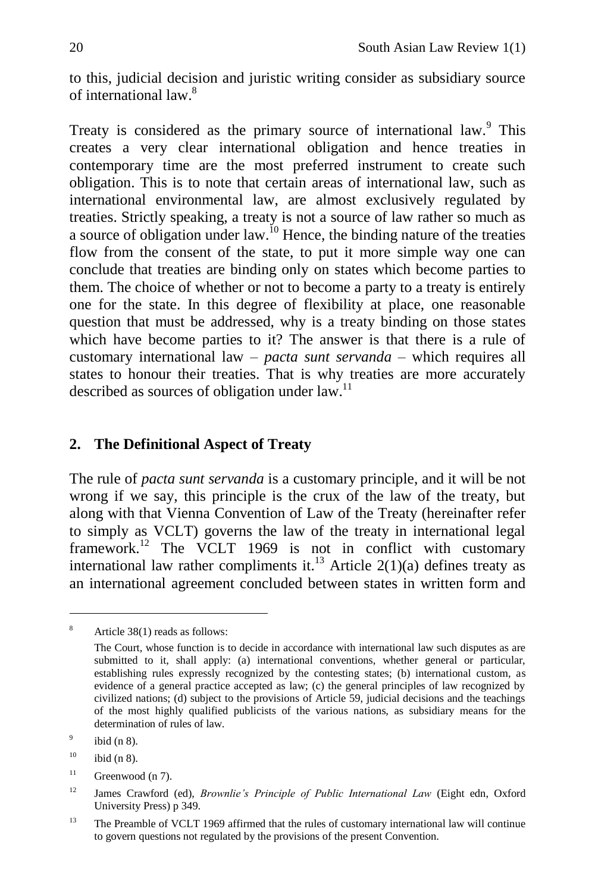to this, judicial decision and juristic writing consider as subsidiary source of international law  $8$ 

Treaty is considered as the primary source of international law.<sup>9</sup> This creates a very clear international obligation and hence treaties in contemporary time are the most preferred instrument to create such obligation. This is to note that certain areas of international law, such as international environmental law, are almost exclusively regulated by treaties. Strictly speaking, a treaty is not a source of law rather so much as a source of obligation under law.<sup>10</sup> Hence, the binding nature of the treaties flow from the consent of the state, to put it more simple way one can conclude that treaties are binding only on states which become parties to them. The choice of whether or not to become a party to a treaty is entirely one for the state. In this degree of flexibility at place, one reasonable question that must be addressed, why is a treaty binding on those states which have become parties to it? The answer is that there is a rule of customary international law – *pacta sunt servanda* – which requires all states to honour their treaties. That is why treaties are more accurately described as sources of obligation under law.<sup>11</sup>

## **2. The Definitional Aspect of Treaty**

The rule of *pacta sunt servanda* is a customary principle, and it will be not wrong if we say, this principle is the crux of the law of the treaty, but along with that Vienna Convention of Law of the Treaty (hereinafter refer to simply as VCLT) governs the law of the treaty in international legal framework.<sup>12</sup> The VCLT 1969 is not in conflict with customary international law rather compliments it.<sup>13</sup> Article 2(1)(a) defines treaty as an international agreement concluded between states in written form and

 $\ddot{\phantom{a}}$ 

<sup>8</sup> Article 38(1) reads as follows:

The Court, whose function is to decide in accordance with international law such disputes as are submitted to it, shall apply: (a) international conventions, whether general or particular, establishing rules expressly recognized by the contesting states; (b) international custom, as evidence of a general practice accepted as law; (c) the general principles of law recognized by civilized nations; (d) subject to the provisions of Article 59, judicial decisions and the teachings of the most highly qualified publicists of the various nations, as subsidiary means for the determination of rules of law.

<sup>9</sup> ibid (n 8).

 $^{10}$  ibid (n 8).

 $11$  Greenwood (n 7).

<sup>&</sup>lt;sup>12</sup> James Crawford (ed), *Brownlie's Principle of Public International Law* (Eight edn, Oxford University Press) p 349.

<sup>&</sup>lt;sup>13</sup> The Preamble of VCLT 1969 affirmed that the rules of customary international law will continue to govern questions not regulated by the provisions of the present Convention.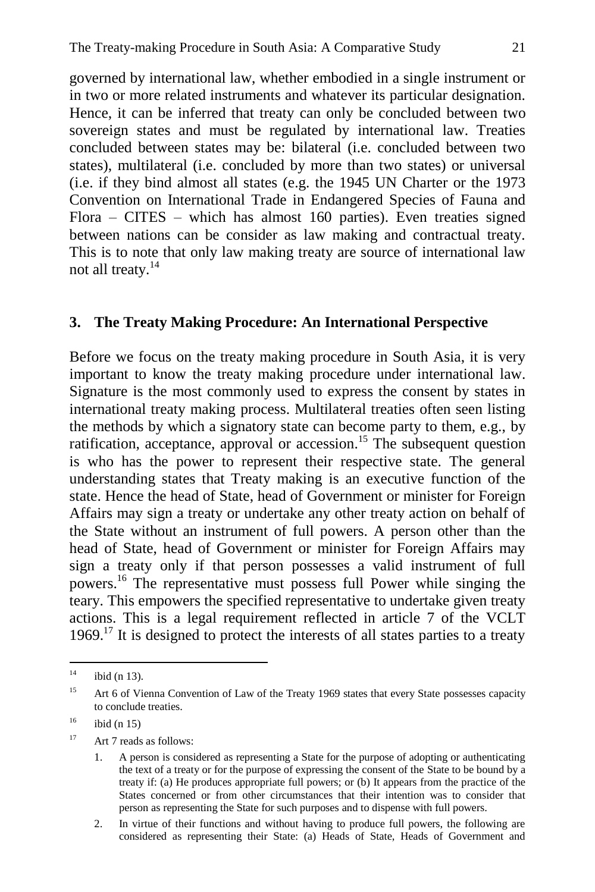governed by international law, whether embodied in a single instrument or in two or more related instruments and whatever its particular designation. Hence, it can be inferred that treaty can only be concluded between two sovereign states and must be regulated by international law. Treaties concluded between states may be: bilateral (i.e. concluded between two states), multilateral (i.e. concluded by more than two states) or universal (i.e. if they bind almost all states (e.g. the 1945 UN Charter or the 1973 Convention on International Trade in Endangered Species of Fauna and Flora – CITES – which has almost 160 parties). Even treaties signed between nations can be consider as law making and contractual treaty. This is to note that only law making treaty are source of international law not all treaty.<sup>14</sup>

#### **3. The Treaty Making Procedure: An International Perspective**

Before we focus on the treaty making procedure in South Asia, it is very important to know the treaty making procedure under international law. Signature is the most commonly used to express the consent by states in international treaty making process. Multilateral treaties often seen listing the methods by which a signatory state can become party to them, e.g., by ratification, acceptance, approval or accession.<sup>15</sup> The subsequent question is who has the power to represent their respective state. The general understanding states that Treaty making is an executive function of the state. Hence the head of State, head of Government or minister for Foreign Affairs may sign a treaty or undertake any other treaty action on behalf of the State without an instrument of full powers. A person other than the head of State, head of Government or minister for Foreign Affairs may sign a treaty only if that person possesses a valid instrument of full powers.<sup>16</sup> The representative must possess full Power while singing the teary. This empowers the specified representative to undertake given treaty actions. This is a legal requirement reflected in article 7 of the VCLT  $1969$ <sup>17</sup> It is designed to protect the interests of all states parties to a treaty

 $14$ ibid (n  $13$ ).

<sup>&</sup>lt;sup>15</sup> Art 6 of Vienna Convention of Law of the Treaty 1969 states that every State possesses capacity to conclude treaties.

 $16$  ibid (n 15)

<sup>17</sup> Art 7 reads as follows:

<sup>1.</sup> A person is considered as representing a State for the purpose of adopting or authenticating the text of a treaty or for the purpose of expressing the consent of the State to be bound by a treaty if: (a) He produces appropriate full powers; or (b) It appears from the practice of the States concerned or from other circumstances that their intention was to consider that person as representing the State for such purposes and to dispense with full powers.

<sup>2.</sup> In virtue of their functions and without having to produce full powers, the following are considered as representing their State: (a) Heads of State, Heads of Government and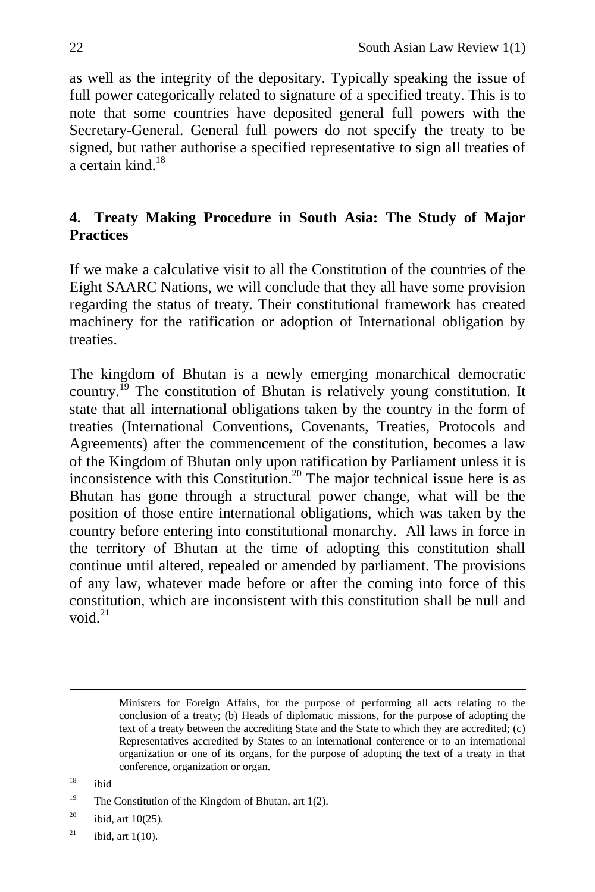as well as the integrity of the depositary. Typically speaking the issue of full power categorically related to signature of a specified treaty. This is to note that some countries have deposited general full powers with the Secretary-General. General full powers do not specify the treaty to be signed, but rather authorise a specified representative to sign all treaties of a certain kind. $18$ 

# **4. Treaty Making Procedure in South Asia: The Study of Major Practices**

If we make a calculative visit to all the Constitution of the countries of the Eight SAARC Nations, we will conclude that they all have some provision regarding the status of treaty. Their constitutional framework has created machinery for the ratification or adoption of International obligation by treaties.

The kingdom of Bhutan is a newly emerging monarchical democratic country.<sup>19</sup> The constitution of Bhutan is relatively young constitution. It state that all international obligations taken by the country in the form of treaties (International Conventions, Covenants, Treaties, Protocols and Agreements) after the commencement of the constitution, becomes a law of the Kingdom of Bhutan only upon ratification by Parliament unless it is inconsistence with this Constitution.<sup>20</sup> The major technical issue here is as Bhutan has gone through a structural power change, what will be the position of those entire international obligations, which was taken by the country before entering into constitutional monarchy. All laws in force in the territory of Bhutan at the time of adopting this constitution shall continue until altered, repealed or amended by parliament. The provisions of any law, whatever made before or after the coming into force of this constitution, which are inconsistent with this constitution shall be null and void  $^{21}$ 

 $\overline{a}$ 

Ministers for Foreign Affairs, for the purpose of performing all acts relating to the conclusion of a treaty; (b) Heads of diplomatic missions, for the purpose of adopting the text of a treaty between the accrediting State and the State to which they are accredited; (c) Representatives accredited by States to an international conference or to an international organization or one of its organs, for the purpose of adopting the text of a treaty in that conference, organization or organ.

 $18$  ibid

<sup>&</sup>lt;sup>19</sup> The Constitution of the Kingdom of Bhutan, art  $1(2)$ .

 $20$  ibid, art 10(25).

 $^{21}$  ibid, art 1(10).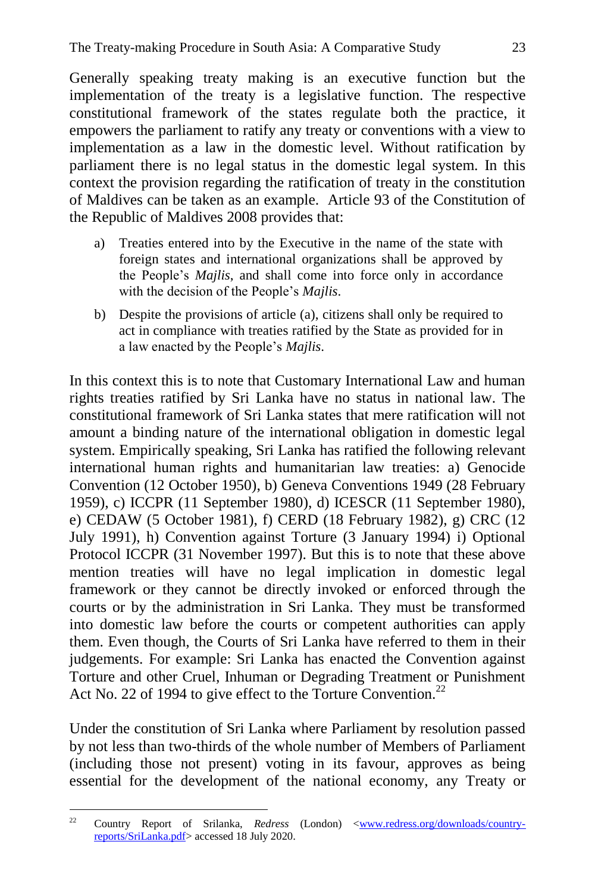Generally speaking treaty making is an executive function but the implementation of the treaty is a legislative function. The respective constitutional framework of the states regulate both the practice, it empowers the parliament to ratify any treaty or conventions with a view to implementation as a law in the domestic level. Without ratification by parliament there is no legal status in the domestic legal system. In this context the provision regarding the ratification of treaty in the constitution of Maldives can be taken as an example. Article 93 of the Constitution of the Republic of Maldives 2008 provides that:

- a) Treaties entered into by the Executive in the name of the state with foreign states and international organizations shall be approved by the People's *Majlis*, and shall come into force only in accordance with the decision of the People's *Majlis*.
- b) Despite the provisions of article (a), citizens shall only be required to act in compliance with treaties ratified by the State as provided for in a law enacted by the People's *Majlis*.

In this context this is to note that Customary International Law and human rights treaties ratified by Sri Lanka have no status in national law. The constitutional framework of Sri Lanka states that mere ratification will not amount a binding nature of the international obligation in domestic legal system. Empirically speaking, Sri Lanka has ratified the following relevant international human rights and humanitarian law treaties: a) Genocide Convention (12 October 1950), b) Geneva Conventions 1949 (28 February 1959), c) ICCPR (11 September 1980), d) ICESCR (11 September 1980), e) CEDAW (5 October 1981), f) CERD (18 February 1982), g) CRC (12 July 1991), h) Convention against Torture (3 January 1994) i) Optional Protocol ICCPR (31 November 1997). But this is to note that these above mention treaties will have no legal implication in domestic legal framework or they cannot be directly invoked or enforced through the courts or by the administration in Sri Lanka. They must be transformed into domestic law before the courts or competent authorities can apply them. Even though, the Courts of Sri Lanka have referred to them in their judgements. For example: Sri Lanka has enacted the Convention against Torture and other Cruel, Inhuman or Degrading Treatment or Punishment Act No. 22 of 1994 to give effect to the Torture Convention.<sup>22</sup>

Under the constitution of Sri Lanka where Parliament by resolution passed by not less than two-thirds of the whole number of Members of Parliament (including those not present) voting in its favour, approves as being essential for the development of the national economy, any Treaty or

 $22$ <sup>22</sup> Country Report of Srilanka, *Redress* (London) [<www.redress.org/downloads/country](http://www.redress.org/downloads/country-reports/SriLanka.pdf)[reports/SriLanka.pdf>](http://www.redress.org/downloads/country-reports/SriLanka.pdf) accessed 18 July 2020.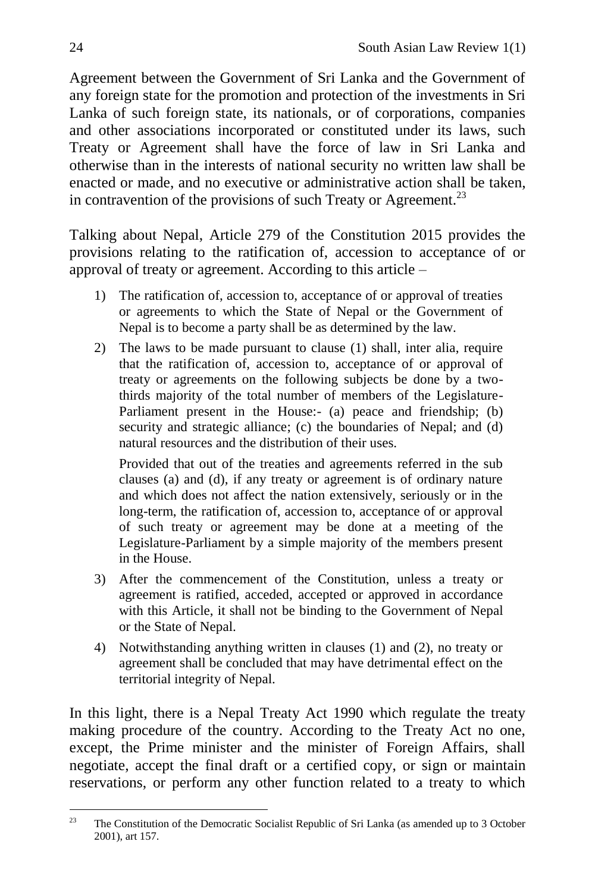Agreement between the Government of Sri Lanka and the Government of any foreign state for the promotion and protection of the investments in Sri Lanka of such foreign state, its nationals, or of corporations, companies and other associations incorporated or constituted under its laws, such Treaty or Agreement shall have the force of law in Sri Lanka and otherwise than in the interests of national security no written law shall be enacted or made, and no executive or administrative action shall be taken, in contravention of the provisions of such Treaty or Agreement.<sup>23</sup>

Talking about Nepal, Article 279 of the Constitution 2015 provides the provisions relating to the ratification of, accession to acceptance of or approval of treaty or agreement. According to this article –

- 1) The ratification of, accession to, acceptance of or approval of treaties or agreements to which the State of Nepal or the Government of Nepal is to become a party shall be as determined by the law.
- 2) The laws to be made pursuant to clause (1) shall, inter alia, require that the ratification of, accession to, acceptance of or approval of treaty or agreements on the following subjects be done by a twothirds majority of the total number of members of the Legislature-Parliament present in the House:- (a) peace and friendship; (b) security and strategic alliance; (c) the boundaries of Nepal; and (d) natural resources and the distribution of their uses.

Provided that out of the treaties and agreements referred in the sub clauses (a) and (d), if any treaty or agreement is of ordinary nature and which does not affect the nation extensively, seriously or in the long-term, the ratification of, accession to, acceptance of or approval of such treaty or agreement may be done at a meeting of the Legislature-Parliament by a simple majority of the members present in the House.

- 3) After the commencement of the Constitution, unless a treaty or agreement is ratified, acceded, accepted or approved in accordance with this Article, it shall not be binding to the Government of Nepal or the State of Nepal.
- 4) Notwithstanding anything written in clauses (1) and (2), no treaty or agreement shall be concluded that may have detrimental effect on the territorial integrity of Nepal.

In this light, there is a Nepal Treaty Act 1990 which regulate the treaty making procedure of the country. According to the Treaty Act no one, except, the Prime minister and the minister of Foreign Affairs, shall negotiate, accept the final draft or a certified copy, or sign or maintain reservations, or perform any other function related to a treaty to which

<sup>23</sup> <sup>23</sup> The Constitution of the Democratic Socialist Republic of Sri Lanka (as amended up to 3 October 2001), art 157.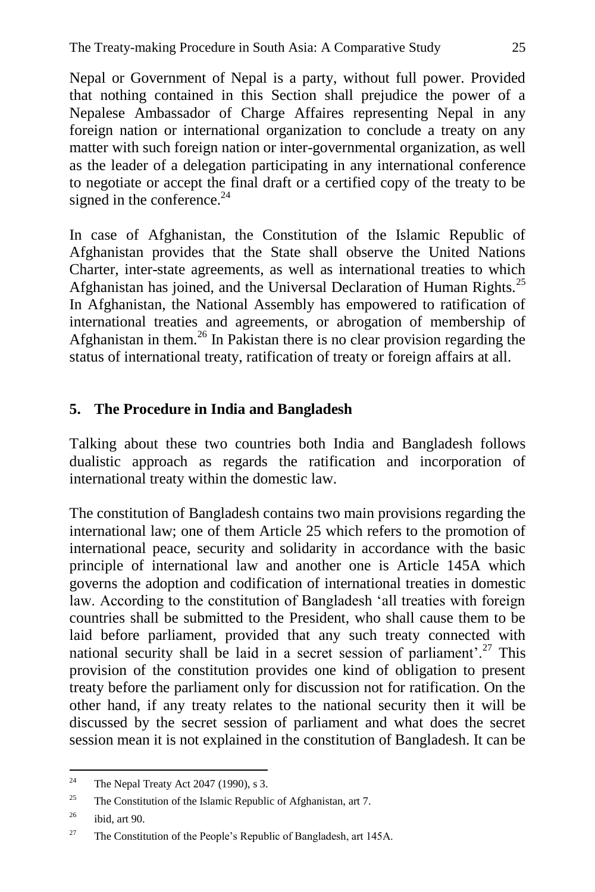Nepal or Government of Nepal is a party, without full power. Provided that nothing contained in this Section shall prejudice the power of a Nepalese Ambassador of Charge Affaires representing Nepal in any foreign nation or international organization to conclude a treaty on any matter with such foreign nation or inter-governmental organization, as well as the leader of a delegation participating in any international conference to negotiate or accept the final draft or a certified copy of the treaty to be signed in the conference.<sup>24</sup>

In case of Afghanistan, the Constitution of the Islamic Republic of Afghanistan provides that the State shall observe the United Nations Charter, inter-state agreements, as well as international treaties to which Afghanistan has joined, and the Universal Declaration of Human Rights.<sup>25</sup> In Afghanistan, the National Assembly has empowered to ratification of international treaties and agreements, or abrogation of membership of Afghanistan in them.<sup>26</sup> In Pakistan there is no clear provision regarding the status of international treaty, ratification of treaty or foreign affairs at all.

# **5. The Procedure in India and Bangladesh**

Talking about these two countries both India and Bangladesh follows dualistic approach as regards the ratification and incorporation of international treaty within the domestic law.

The constitution of Bangladesh contains two main provisions regarding the international law; one of them Article 25 which refers to the promotion of international peace, security and solidarity in accordance with the basic principle of international law and another one is Article 145A which governs the adoption and codification of international treaties in domestic law. According to the constitution of Bangladesh 'all treaties with foreign countries shall be submitted to the President, who shall cause them to be laid before parliament, provided that any such treaty connected with national security shall be laid in a secret session of parliament'.<sup>27</sup> This provision of the constitution provides one kind of obligation to present treaty before the parliament only for discussion not for ratification. On the other hand, if any treaty relates to the national security then it will be discussed by the secret session of parliament and what does the secret session mean it is not explained in the constitution of Bangladesh. It can be

 $^{24}$ The Nepal Treaty Act 2047 (1990), s 3.

<sup>&</sup>lt;sup>25</sup> The Constitution of the Islamic Republic of Afghanistan, art 7.

 $^{26}$  ibid, art 90.

<sup>&</sup>lt;sup>27</sup> The Constitution of the People's Republic of Bangladesh, art 145A.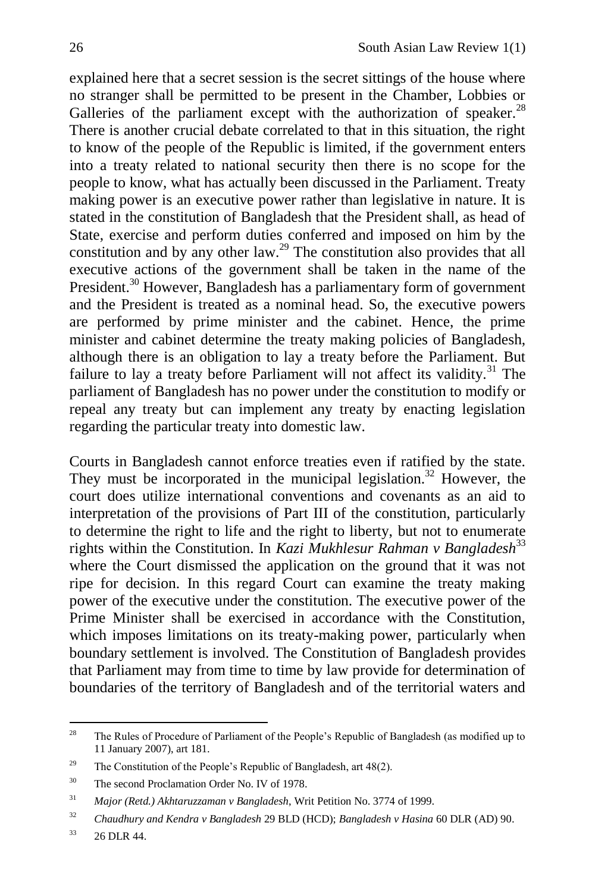explained here that a secret session is the secret sittings of the house where no stranger shall be permitted to be present in the Chamber, Lobbies or Galleries of the parliament except with the authorization of speaker. $^{28}$ There is another crucial debate correlated to that in this situation, the right to know of the people of the Republic is limited, if the government enters into a treaty related to national security then there is no scope for the people to know, what has actually been discussed in the Parliament. Treaty making power is an executive power rather than legislative in nature. It is stated in the constitution of Bangladesh that the President shall, as head of State, exercise and perform duties conferred and imposed on him by the constitution and by any other law.<sup>29</sup> The constitution also provides that all executive actions of the government shall be taken in the name of the President.<sup>30</sup> However, Bangladesh has a parliamentary form of government and the President is treated as a nominal head. So, the executive powers are performed by prime minister and the cabinet. Hence, the prime minister and cabinet determine the treaty making policies of Bangladesh, although there is an obligation to lay a treaty before the Parliament. But failure to lay a treaty before Parliament will not affect its validity.<sup>31</sup> The parliament of Bangladesh has no power under the constitution to modify or repeal any treaty but can implement any treaty by enacting legislation regarding the particular treaty into domestic law.

Courts in Bangladesh cannot enforce treaties even if ratified by the state. They must be incorporated in the municipal legislation.<sup>32</sup> However, the court does utilize international conventions and covenants as an aid to interpretation of the provisions of Part III of the constitution, particularly to determine the right to life and the right to liberty, but not to enumerate rights within the Constitution. In *Kazi Mukhlesur Rahman v Bangladesh*<sup>33</sup> where the Court dismissed the application on the ground that it was not ripe for decision. In this regard Court can examine the treaty making power of the executive under the constitution. The executive power of the Prime Minister shall be exercised in accordance with the Constitution, which imposes limitations on its treaty-making power, particularly when boundary settlement is involved. The Constitution of Bangladesh provides that Parliament may from time to time by law provide for determination of boundaries of the territory of Bangladesh and of the territorial waters and

 $28$ The Rules of Procedure of Parliament of the People's Republic of Bangladesh (as modified up to 11 January 2007), art 181.

<sup>&</sup>lt;sup>29</sup> The Constitution of the People's Republic of Bangladesh, art  $48(2)$ .

<sup>&</sup>lt;sup>30</sup> The second Proclamation Order No. IV of 1978.

<sup>31</sup> *Major (Retd.) Akhtaruzzaman v Bangladesh*, Writ Petition No. 3774 of 1999.

<sup>32</sup> *Chaudhury and Kendra v Bangladesh* 29 BLD (HCD); *Bangladesh v Hasina* 60 DLR (AD) 90.

 $33$  26 DLR 44.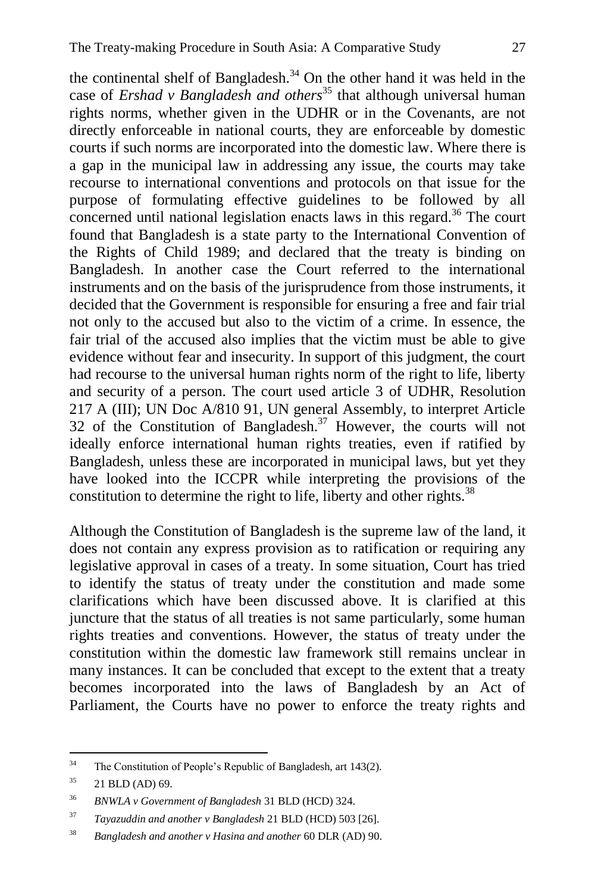the continental shelf of Bangladesh. $34$  On the other hand it was held in the case of *Ershad v Bangladesh and others*<sup>35</sup> that although universal human rights norms, whether given in the UDHR or in the Covenants, are not directly enforceable in national courts, they are enforceable by domestic courts if such norms are incorporated into the domestic law. Where there is a gap in the municipal law in addressing any issue, the courts may take recourse to international conventions and protocols on that issue for the purpose of formulating effective guidelines to be followed by all concerned until national legislation enacts laws in this regard.<sup>36</sup> The court found that Bangladesh is a state party to the International Convention of the Rights of Child 1989; and declared that the treaty is binding on Bangladesh. In another case the Court referred to the international instruments and on the basis of the jurisprudence from those instruments, it decided that the Government is responsible for ensuring a free and fair trial not only to the accused but also to the victim of a crime. In essence, the fair trial of the accused also implies that the victim must be able to give evidence without fear and insecurity. In support of this judgment, the court had recourse to the universal human rights norm of the right to life, liberty and security of a person. The court used article 3 of UDHR, Resolution 217 A (III); UN Doc A/810 91, UN general Assembly, to interpret Article 32 of the Constitution of Bangladesh.<sup>37</sup> However, the courts will not ideally enforce international human rights treaties, even if ratified by Bangladesh, unless these are incorporated in municipal laws, but yet they have looked into the ICCPR while interpreting the provisions of the constitution to determine the right to life, liberty and other rights.<sup>38</sup>

Although the Constitution of Bangladesh is the supreme law of the land, it does not contain any express provision as to ratification or requiring any legislative approval in cases of a treaty. In some situation, Court has tried to identify the status of treaty under the constitution and made some clarifications which have been discussed above. It is clarified at this juncture that the status of all treaties is not same particularly, some human rights treaties and conventions. However, the status of treaty under the constitution within the domestic law framework still remains unclear in many instances. It can be concluded that except to the extent that a treaty becomes incorporated into the laws of Bangladesh by an Act of Parliament, the Courts have no power to enforce the treaty rights and

 $34$ The Constitution of People's Republic of Bangladesh, art 143(2).

 $35$  21 BLD (AD) 69.

<sup>36</sup> *BNWLA v Government of Bangladesh* 31 BLD (HCD) 324.

<sup>37</sup> *Tayazuddin and another v Bangladesh* 21 BLD (HCD) 503 [26].

<sup>38</sup> *Bangladesh and another v Hasina and another* 60 DLR (AD) 90.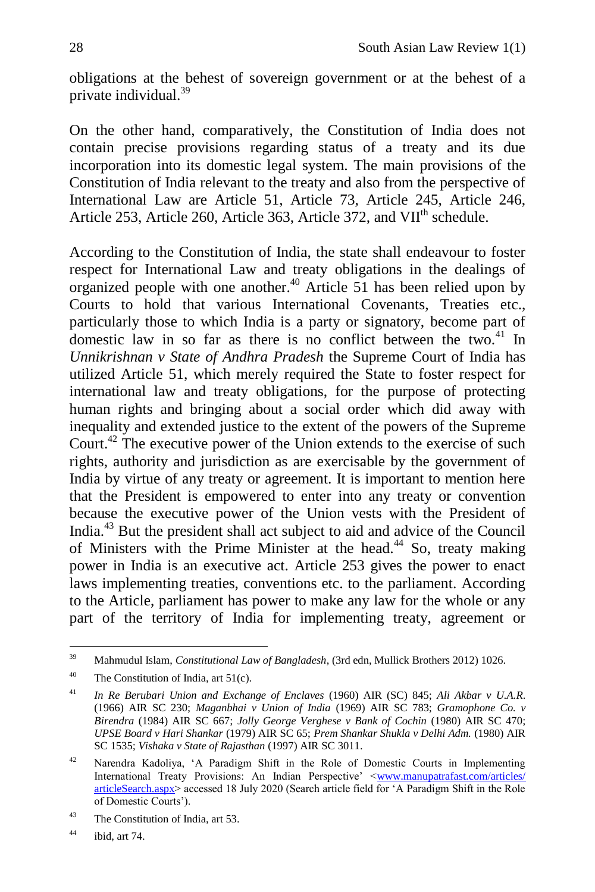obligations at the behest of sovereign government or at the behest of a private individual.<sup>39</sup>

On the other hand, comparatively, the Constitution of India does not contain precise provisions regarding status of a treaty and its due incorporation into its domestic legal system. The main provisions of the Constitution of India relevant to the treaty and also from the perspective of International Law are Article 51, Article 73, Article 245, Article 246, Article 253, Article 260, Article 363, Article 372, and VII<sup>th</sup> schedule.

According to the Constitution of India, the state shall endeavour to foster respect for International Law and treaty obligations in the dealings of organized people with one another.<sup>40</sup> Article 51 has been relied upon by Courts to hold that various International Covenants, Treaties etc., particularly those to which India is a party or signatory, become part of domestic law in so far as there is no conflict between the two. $41$  In *Unnikrishnan v State of Andhra Pradesh* the Supreme Court of India has utilized Article 51, which merely required the State to foster respect for international law and treaty obligations, for the purpose of protecting human rights and bringing about a social order which did away with inequality and extended justice to the extent of the powers of the Supreme Court.<sup>42</sup> The executive power of the Union extends to the exercise of such rights, authority and jurisdiction as are exercisable by the government of India by virtue of any treaty or agreement. It is important to mention here that the President is empowered to enter into any treaty or convention because the executive power of the Union vests with the President of India.<sup>43</sup> But the president shall act subject to aid and advice of the Council of Ministers with the Prime Minister at the head.<sup>44</sup> So, treaty making power in India is an executive act. Article 253 gives the power to enact laws implementing treaties, conventions etc. to the parliament. According to the Article, parliament has power to make any law for the whole or any part of the territory of India for implementing treaty, agreement or

<sup>39</sup> <sup>39</sup> Mahmudul Islam, *Constitutional Law of Bangladesh*, (3rd edn, Mullick Brothers 2012) 1026.

<sup>&</sup>lt;sup>40</sup> The Constitution of India, art  $51(c)$ .

<sup>41</sup> *In Re Berubari Union and Exchange of Enclaves* (1960) AIR (SC) 845; *Ali Akbar v U.A.R*. (1966) AIR SC 230; *Maganbhai v Union of India* (1969) AIR SC 783; *Gramophone Co. v Birendra* (1984) AIR SC 667; *Jolly George Verghese v Bank of Cochin* (1980) AIR SC 470; *UPSE Board v Hari Shankar* (1979) AIR SC 65; *Prem Shankar Shukla v Delhi Adm.* (1980) AIR SC 1535; *Vishaka v State of Rajasthan* (1997) AIR SC 3011.

<sup>&</sup>lt;sup>42</sup> Narendra Kadoliya, 'A Paradigm Shift in the Role of Domestic Courts in Implementing International Treaty Provisions: An Indian Perspective' [<www.manupatrafast.com/articles/](http://www.manupatrafast.com/articles/%20articleSearch.aspx)  [articleSearch.aspx>](http://www.manupatrafast.com/articles/%20articleSearch.aspx) accessed 18 July 2020 (Search article field for ‗A Paradigm Shift in the Role of Domestic Courts').

<sup>43</sup> The Constitution of India, art 53.

 $44$  ibid, art 74.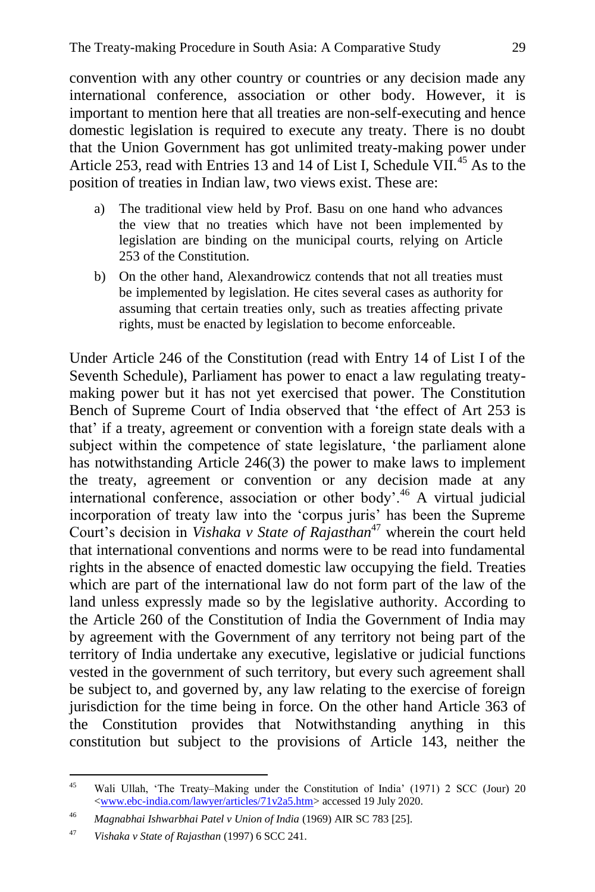convention with any other country or countries or any decision made any international conference, association or other body. However, it is important to mention here that all treaties are non-self-executing and hence domestic legislation is required to execute any treaty. There is no doubt that the Union Government has got unlimited treaty-making power under Article 253, read with Entries 13 and 14 of List I, Schedule  $\check{VII}^{45}$  As to the position of treaties in Indian law, two views exist. These are:

- a) The traditional view held by Prof. Basu on one hand who advances the view that no treaties which have not been implemented by legislation are binding on the municipal courts, relying on Article 253 of the Constitution.
- b) On the other hand, Alexandrowicz contends that not all treaties must be implemented by legislation. He cites several cases as authority for assuming that certain treaties only, such as treaties affecting private rights, must be enacted by legislation to become enforceable.

Under Article 246 of the Constitution (read with Entry 14 of List I of the Seventh Schedule), Parliament has power to enact a law regulating treatymaking power but it has not yet exercised that power. The Constitution Bench of Supreme Court of India observed that 'the effect of Art 253 is that' if a treaty, agreement or convention with a foreign state deals with a subject within the competence of state legislature, 'the parliament alone has notwithstanding Article 246(3) the power to make laws to implement the treaty, agreement or convention or any decision made at any international conference, association or other body'.<sup>46</sup> A virtual judicial incorporation of treaty law into the 'corpus juris' has been the Supreme Court's decision in *Vishaka v State of Rajasthan*<sup>47</sup> wherein the court held that international conventions and norms were to be read into fundamental rights in the absence of enacted domestic law occupying the field. Treaties which are part of the international law do not form part of the law of the land unless expressly made so by the legislative authority. According to the Article 260 of the Constitution of India the Government of India may by agreement with the Government of any territory not being part of the territory of India undertake any executive, legislative or judicial functions vested in the government of such territory, but every such agreement shall be subject to, and governed by, any law relating to the exercise of foreign jurisdiction for the time being in force. On the other hand Article 363 of the Constitution provides that Notwithstanding anything in this constitution but subject to the provisions of Article 143, neither the

 $45$ Wali Ullah, 'The Treaty–Making under the Constitution of India' (1971) 2 SCC (Jour) 20 [<www.ebc-india.com/lawyer/articles/71v2a5.htm>](http://www.ebc-india.com/lawyer/articles/71v2a5.htm) accessed 19 July 2020.

<sup>46</sup> *Magnabhai Ishwarbhai Patel v Union of India* (1969) AIR SC 783 [25].

<sup>47</sup> *Vishaka v State of Rajasthan* (1997) 6 SCC 241.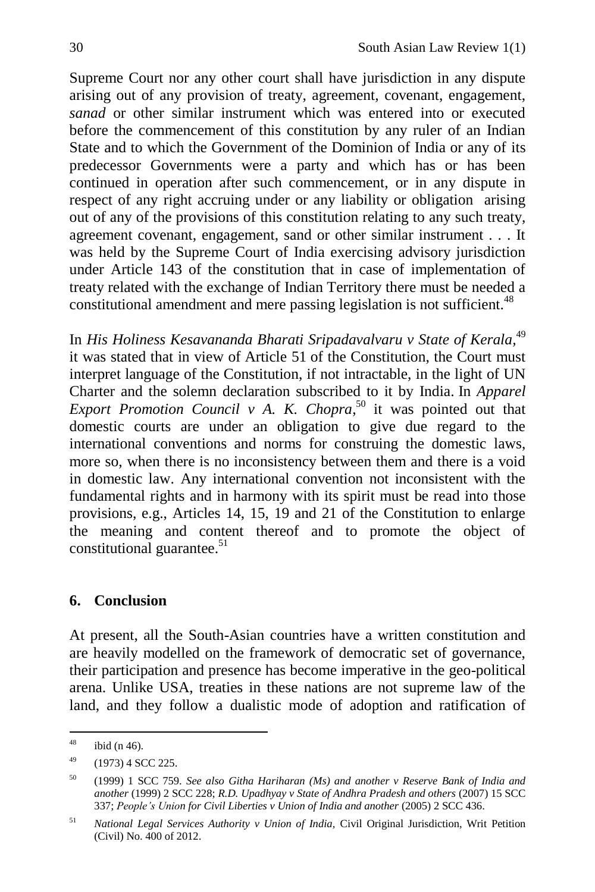Supreme Court nor any other court shall have jurisdiction in any dispute arising out of any provision of treaty, agreement, covenant, engagement, *sanad* or other similar instrument which was entered into or executed before the commencement of this constitution by any ruler of an Indian State and to which the Government of the Dominion of India or any of its predecessor Governments were a party and which has or has been continued in operation after such commencement, or in any dispute in respect of any right accruing under or any liability or obligation arising out of any of the provisions of this constitution relating to any such treaty, agreement covenant, engagement, sand or other similar instrument . . . It was held by the Supreme Court of India exercising advisory jurisdiction under Article 143 of the constitution that in case of implementation of treaty related with the exchange of Indian Territory there must be needed a constitutional amendment and mere passing legislation is not sufficient.<sup>48</sup>

In *[His Holiness Kesavananda Bharati Sripadavalvaru v State of Kerala,](https://indiankanoon.org/doc/257876/)* 49 it was stated that in view of [Article 51](https://indiankanoon.org/doc/854952/) of the Constitution, the Court must interpret language of the Constitution, if not intractable, in the light of UN Charter and the solemn declaration subscribed to it by India. In *[Apparel](https://indiankanoon.org/doc/856194/)  [Export Promotion Council v A. K. Chopra](https://indiankanoon.org/doc/856194/)*, <sup>50</sup> it was pointed out that domestic courts are under an obligation to give due regard to the international conventions and norms for construing the domestic laws, more so, when there is no inconsistency between them and there is a void in domestic law. Any international convention not inconsistent with the fundamental rights and in harmony with its spirit must be read into those provisions, e.g., Articles 14, 15, 19 and 21 of the Constitution to enlarge the meaning and content thereof and to promote the object of constitutional guarantee. $51$ 

### **6. Conclusion**

At present, all the South-Asian countries have a written constitution and are heavily modelled on the framework of democratic set of governance, their participation and presence has become imperative in the geo-political arena. Unlike USA, treaties in these nations are not supreme law of the land, and they follow a dualistic mode of adoption and ratification of

 $\overline{AB}$ ibid (n 46).

 $49$  (1973) 4 SCC 225.

<sup>50</sup> (1999) 1 SCC 759. *See also Githa Hariharan (Ms) and another v Reserve Bank of India and another* (1999) 2 SCC 228; *R.D. Upadhyay v State of Andhra Pradesh and others* (2007) 15 SCC 337; *People's Union for Civil Liberties v Union of India and another* (2005) 2 SCC 436.

<sup>51</sup> *National Legal Services Authority v Union of India,* Civil Original Jurisdiction, Writ Petition (Civil) No. 400 of 2012.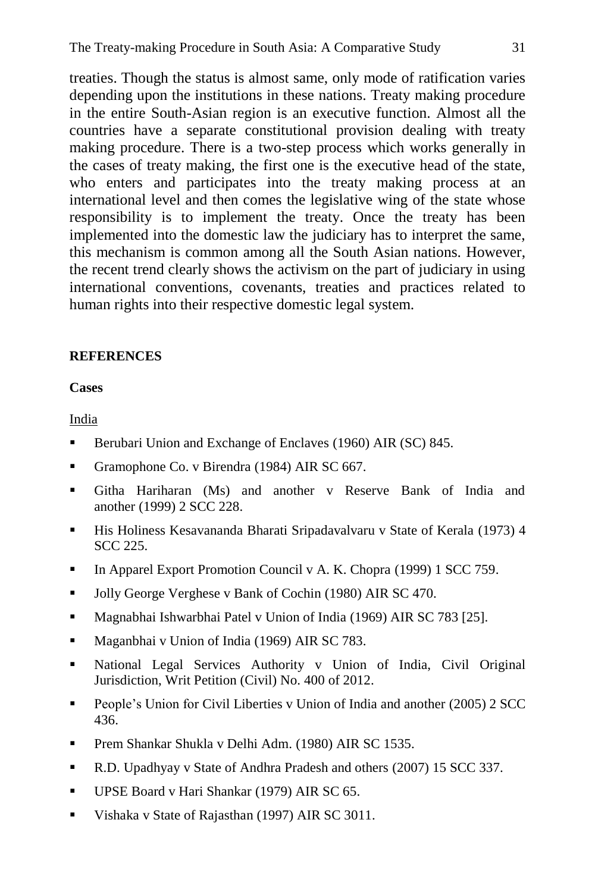treaties. Though the status is almost same, only mode of ratification varies depending upon the institutions in these nations. Treaty making procedure in the entire South-Asian region is an executive function. Almost all the countries have a separate constitutional provision dealing with treaty making procedure. There is a two-step process which works generally in the cases of treaty making, the first one is the executive head of the state, who enters and participates into the treaty making process at an international level and then comes the legislative wing of the state whose responsibility is to implement the treaty. Once the treaty has been implemented into the domestic law the judiciary has to interpret the same, this mechanism is common among all the South Asian nations. However, the recent trend clearly shows the activism on the part of judiciary in using international conventions, covenants, treaties and practices related to human rights into their respective domestic legal system.

#### **REFERENCES**

#### **Cases**

India

- Berubari Union and Exchange of Enclaves (1960) AIR (SC) 845.
- Gramophone Co. v Birendra (1984) AIR SC 667.
- Githa Hariharan (Ms) and another v Reserve Bank of India and another (1999) 2 SCC 228.
- His Holiness Kesavananda Bharati Sripadavalvaru v State of Kerala (1973) 4 SCC 225.
- [In Apparel Export Promotion Council v A. K. Chopra](https://indiankanoon.org/doc/856194/) (1999) 1 SCC 759.
- Jolly George Verghese v Bank of Cochin (1980) AIR SC 470.
- Magnabhai Ishwarbhai Patel v Union of India (1969) AIR SC 783 [25].
- Maganbhai v Union of India (1969) AIR SC 783.
- National Legal Services Authority v Union of India, Civil Original Jurisdiction, Writ Petition (Civil) No. 400 of 2012.
- **People's Union for Civil Liberties v Union of India and another (2005) 2 SCC** 436.
- **Prem Shankar Shukla v Delhi Adm. (1980) AIR SC 1535.**
- R.D. Upadhyay v State of Andhra Pradesh and others (2007) 15 SCC 337.
- UPSE Board v Hari Shankar (1979) AIR SC 65.
- Vishaka v State of Rajasthan (1997) AIR SC 3011.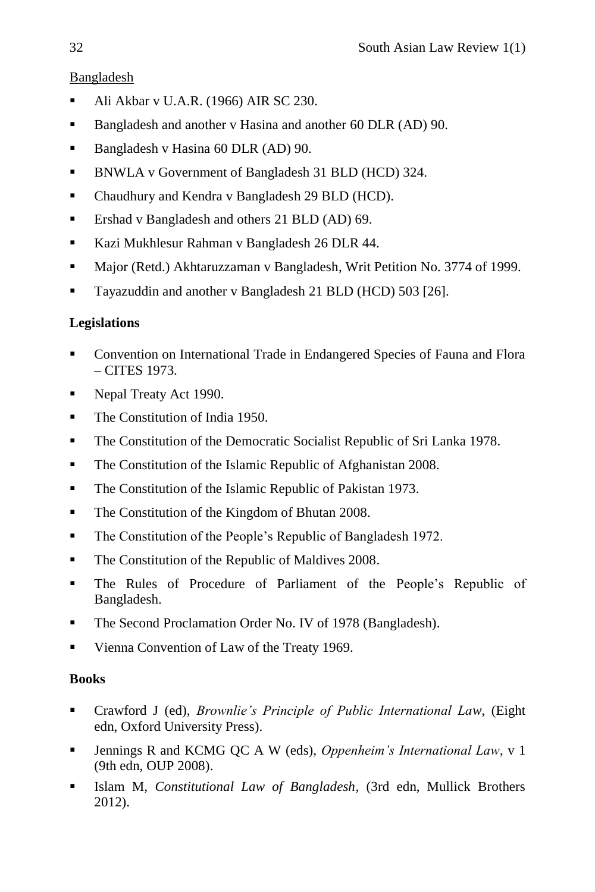## Bangladesh

- Ali Akbar v U.A.R. (1966) AIR SC 230.
- Bangladesh and another v Hasina and another 60 DLR (AD) 90.
- Bangladesh v Hasina 60 DLR (AD) 90.
- BNWLA v Government of Bangladesh 31 BLD (HCD) 324.
- Chaudhury and Kendra v Bangladesh 29 BLD (HCD).
- **Ershad v Bangladesh and others 21 BLD (AD) 69.**
- Kazi Mukhlesur Rahman v Bangladesh 26 DLR 44.
- Major (Retd.) Akhtaruzzaman v Bangladesh, Writ Petition No. 3774 of 1999.
- Tayazuddin and another v Bangladesh 21 BLD (HCD) 503 [26].

# **Legislations**

- Convention on International Trade in Endangered Species of Fauna and Flora – CITES 1973.
- Nepal Treaty Act 1990.
- The Constitution of India 1950.
- The Constitution of the Democratic Socialist Republic of Sri Lanka 1978.
- **The Constitution of the Islamic Republic of Afghanistan 2008.**
- The Constitution of the Islamic Republic of Pakistan 1973.
- The Constitution of the Kingdom of Bhutan 2008.
- The Constitution of the People's Republic of Bangladesh 1972.
- The Constitution of the Republic of Maldives 2008.
- The Rules of Procedure of Parliament of the People's Republic of Bangladesh.
- The Second Proclamation Order No. IV of 1978 (Bangladesh).
- Vienna Convention of Law of the Treaty 1969.

# **Books**

- Crawford J (ed), *Brownlie's Principle of Public International Law*, (Eight edn, Oxford University Press).
- Jennings R and KCMG QC A W (eds), *Oppenheim's International Law*, v 1 (9th edn, OUP 2008).
- Islam M, *Constitutional Law of Bangladesh*, (3rd edn, Mullick Brothers 2012).